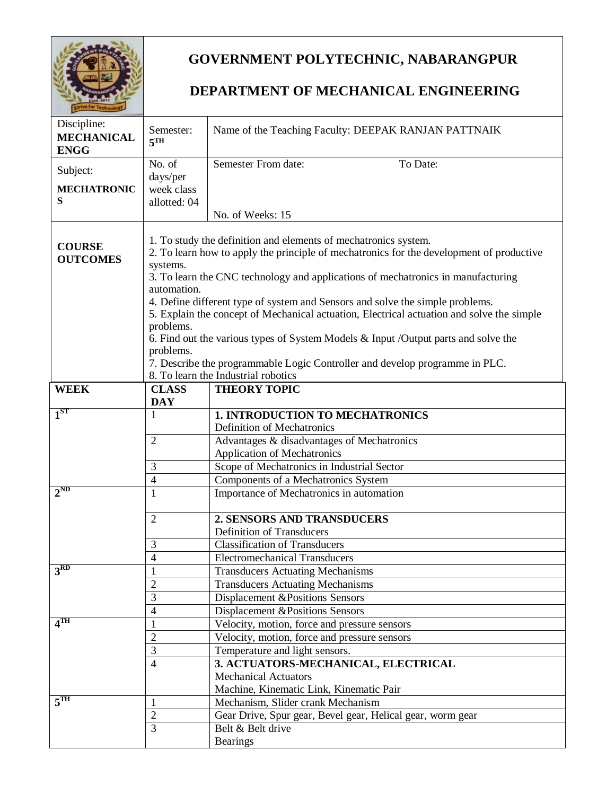

## **GOVERNMENT POLYTECHNIC, NABARANGPUR**

## **DEPARTMENT OF MECHANICAL ENGINEERING**

| Discipline:<br><b>MECHANICAL</b><br><b>ENGG</b> | Semester:<br>5 <sup>TH</sup>                                                             | Name of the Teaching Faculty: DEEPAK RANJAN PATTNAIK                                      |  |
|-------------------------------------------------|------------------------------------------------------------------------------------------|-------------------------------------------------------------------------------------------|--|
| Subject:                                        | No. of<br>days/per                                                                       | Semester From date:<br>To Date:                                                           |  |
| <b>MECHATRONIC</b><br>S                         | week class                                                                               |                                                                                           |  |
|                                                 | allotted: 04                                                                             | No. of Weeks: 15                                                                          |  |
|                                                 |                                                                                          |                                                                                           |  |
|                                                 | 1. To study the definition and elements of mechatronics system.                          |                                                                                           |  |
| <b>COURSE</b><br><b>OUTCOMES</b>                | 2. To learn how to apply the principle of mechatronics for the development of productive |                                                                                           |  |
|                                                 | systems.                                                                                 |                                                                                           |  |
|                                                 | automation.                                                                              | 3. To learn the CNC technology and applications of mechatronics in manufacturing          |  |
|                                                 |                                                                                          | 4. Define different type of system and Sensors and solve the simple problems.             |  |
|                                                 |                                                                                          | 5. Explain the concept of Mechanical actuation, Electrical actuation and solve the simple |  |
|                                                 | problems.                                                                                |                                                                                           |  |
|                                                 |                                                                                          | 6. Find out the various types of System Models $\&$ Input /Output parts and solve the     |  |
|                                                 | problems.                                                                                |                                                                                           |  |
|                                                 |                                                                                          | 7. Describe the programmable Logic Controller and develop programme in PLC.               |  |
| <b>WEEK</b>                                     | <b>CLASS</b>                                                                             | 8. To learn the Industrial robotics<br><b>THEORY TOPIC</b>                                |  |
|                                                 | <b>DAY</b>                                                                               |                                                                                           |  |
| 1 <sup>ST</sup>                                 | 1                                                                                        | <b>1. INTRODUCTION TO MECHATRONICS</b>                                                    |  |
|                                                 |                                                                                          | Definition of Mechatronics                                                                |  |
|                                                 | $\overline{2}$                                                                           | Advantages & disadvantages of Mechatronics                                                |  |
|                                                 |                                                                                          | <b>Application of Mechatronics</b>                                                        |  |
|                                                 | 3                                                                                        | Scope of Mechatronics in Industrial Sector                                                |  |
| $2^{ND}$                                        | $\overline{4}$                                                                           | Components of a Mechatronics System                                                       |  |
|                                                 | 1                                                                                        | Importance of Mechatronics in automation                                                  |  |
|                                                 | $\overline{2}$                                                                           | 2. SENSORS AND TRANSDUCERS                                                                |  |
|                                                 |                                                                                          | <b>Definition of Transducers</b>                                                          |  |
|                                                 | 3                                                                                        | <b>Classification of Transducers</b>                                                      |  |
|                                                 | $\overline{4}$                                                                           | <b>Electromechanical Transducers</b>                                                      |  |
| 3 <sup>RD</sup>                                 |                                                                                          | <b>Transducers Actuating Mechanisms</b>                                                   |  |
|                                                 | $\overline{2}$                                                                           | <b>Transducers Actuating Mechanisms</b>                                                   |  |
|                                                 | 3                                                                                        | Displacement &Positions Sensors                                                           |  |
| $4^{\overline{\text{TH}}}$                      | $\overline{4}$                                                                           | Displacement &Positions Sensors                                                           |  |
|                                                 | 1<br>$\overline{2}$                                                                      | Velocity, motion, force and pressure sensors                                              |  |
|                                                 | $\overline{3}$                                                                           | Velocity, motion, force and pressure sensors<br>Temperature and light sensors.            |  |
|                                                 | $\overline{4}$                                                                           | 3. ACTUATORS-MECHANICAL, ELECTRICAL                                                       |  |
|                                                 |                                                                                          | <b>Mechanical Actuators</b>                                                               |  |
|                                                 |                                                                                          | Machine, Kinematic Link, Kinematic Pair                                                   |  |
| 5 <sup>TH</sup>                                 | 1                                                                                        | Mechanism, Slider crank Mechanism                                                         |  |
|                                                 | $\sqrt{2}$                                                                               | Gear Drive, Spur gear, Bevel gear, Helical gear, worm gear                                |  |
|                                                 | $\overline{3}$                                                                           | Belt & Belt drive                                                                         |  |
|                                                 |                                                                                          | <b>Bearings</b>                                                                           |  |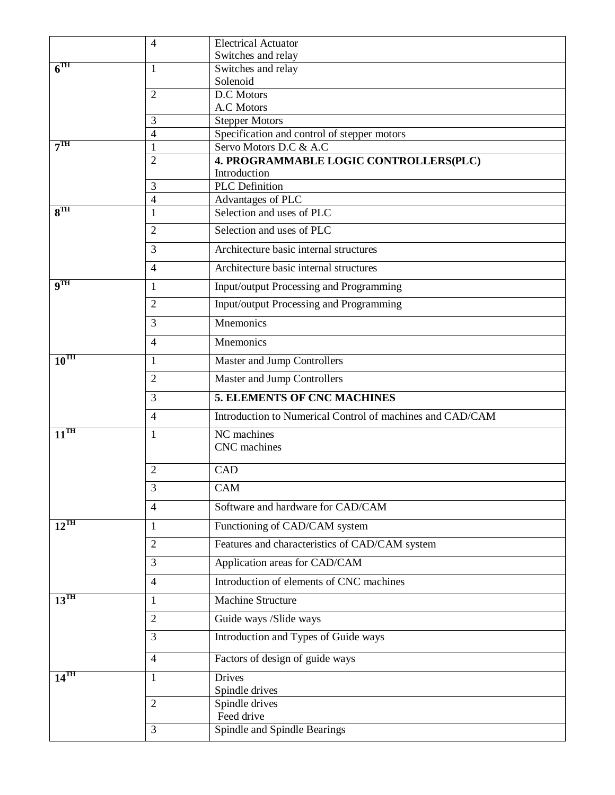|                          | 4              | <b>Electrical Actuator</b>                                |
|--------------------------|----------------|-----------------------------------------------------------|
|                          |                | Switches and relay                                        |
| 6 <sup>TH</sup>          | 1              | Switches and relay                                        |
|                          |                | Solenoid<br>D.C Motors                                    |
|                          | 2              | A.C Motors                                                |
|                          | 3              | <b>Stepper Motors</b>                                     |
|                          | 4              | Specification and control of stepper motors               |
| 7 <sup>TH</sup>          | 1              | Servo Motors D.C & A.C                                    |
|                          | $\overline{2}$ | 4. PROGRAMMABLE LOGIC CONTROLLERS(PLC)                    |
|                          |                | Introduction                                              |
|                          | 3              | <b>PLC</b> Definition                                     |
| $8^{\text{TH}}$          | 4<br>1         | Advantages of PLC<br>Selection and uses of PLC            |
|                          |                |                                                           |
|                          | $\overline{2}$ | Selection and uses of PLC                                 |
|                          | 3              | Architecture basic internal structures                    |
|                          | $\overline{4}$ | Architecture basic internal structures                    |
| $\mathbf{q}^{\text{TH}}$ | 1              | Input/output Processing and Programming                   |
|                          | 2              | Input/output Processing and Programming                   |
|                          | 3              | Mnemonics                                                 |
|                          | $\overline{4}$ | Mnemonics                                                 |
| $10^{TH}$                | 1              | Master and Jump Controllers                               |
|                          | $\overline{2}$ | Master and Jump Controllers                               |
|                          | 3              | <b>5. ELEMENTS OF CNC MACHINES</b>                        |
|                          | $\overline{4}$ | Introduction to Numerical Control of machines and CAD/CAM |
| $11^{\text{TH}}$         | 1              | NC machines<br>CNC machines                               |
|                          |                |                                                           |
|                          | $\overline{2}$ | CAD                                                       |
|                          | 3              | CAM                                                       |
|                          | $\overline{4}$ | Software and hardware for CAD/CAM                         |
| $12^{\text{TH}}$         | 1              | Functioning of CAD/CAM system                             |
|                          | $\overline{2}$ | Features and characteristics of CAD/CAM system            |
|                          | 3              | Application areas for CAD/CAM                             |
|                          | 4              | Introduction of elements of CNC machines                  |
| $13^{\text{TH}}$         | 1              | Machine Structure                                         |
|                          | $\overline{2}$ | Guide ways /Slide ways                                    |
|                          | 3              | Introduction and Types of Guide ways                      |
|                          | $\overline{4}$ | Factors of design of guide ways                           |
| $14$ <sup>TH</sup>       | 1              | <b>Drives</b>                                             |
|                          | $\mathfrak{2}$ | Spindle drives<br>Spindle drives                          |
|                          |                |                                                           |
|                          |                |                                                           |
|                          | $\mathfrak{Z}$ | Feed drive<br>Spindle and Spindle Bearings                |